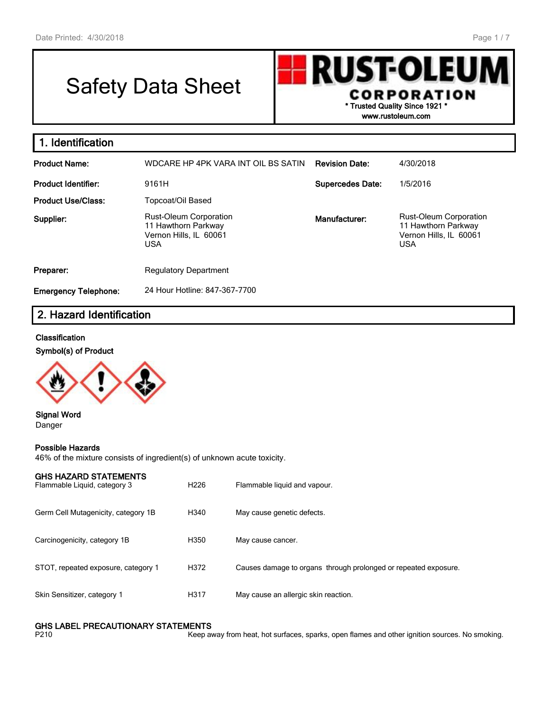# Safety Data Sheet

**RUST-OLEU CORPORATION \* Trusted Quality Since 1921 \***

**www.rustoleum.com**

| 1. Identification           |                                                                                              |                         |                                                                                              |
|-----------------------------|----------------------------------------------------------------------------------------------|-------------------------|----------------------------------------------------------------------------------------------|
| <b>Product Name:</b>        | WDCARE HP 4PK VARA INT OIL BS SATIN                                                          | <b>Revision Date:</b>   | 4/30/2018                                                                                    |
| <b>Product Identifier:</b>  | 9161H                                                                                        | <b>Supercedes Date:</b> | 1/5/2016                                                                                     |
| <b>Product Use/Class:</b>   | Topcoat/Oil Based                                                                            |                         |                                                                                              |
| Supplier:                   | <b>Rust-Oleum Corporation</b><br>11 Hawthorn Parkway<br>Vernon Hills, IL 60061<br><b>USA</b> | Manufacturer:           | <b>Rust-Oleum Corporation</b><br>11 Hawthorn Parkway<br>Vernon Hills, IL 60061<br><b>USA</b> |
| Preparer:                   | <b>Regulatory Department</b>                                                                 |                         |                                                                                              |
| <b>Emergency Telephone:</b> | 24 Hour Hotline: 847-367-7700                                                                |                         |                                                                                              |

## **2. Hazard Identification**

#### **Classification**

**Symbol(s) of Product**



**Signal Word** Danger

#### **Possible Hazards**

46% of the mixture consists of ingredient(s) of unknown acute toxicity.

| GHS HAZARD STATEMENTS |  |
|-----------------------|--|
|-----------------------|--|

| Flammable Liquid, category 3        | H <sub>226</sub> | Flammable liquid and vapour.                                    |
|-------------------------------------|------------------|-----------------------------------------------------------------|
| Germ Cell Mutagenicity, category 1B | H340             | May cause genetic defects.                                      |
| Carcinogenicity, category 1B        | H350             | May cause cancer.                                               |
| STOT, repeated exposure, category 1 | H372             | Causes damage to organs through prolonged or repeated exposure. |
| Skin Sensitizer, category 1         | H317             | May cause an allergic skin reaction.                            |

## **GHS LABEL PRECAUTIONARY STATEMENTS**<br>P210 Keep av

Keep away from heat, hot surfaces, sparks, open flames and other ignition sources. No smoking.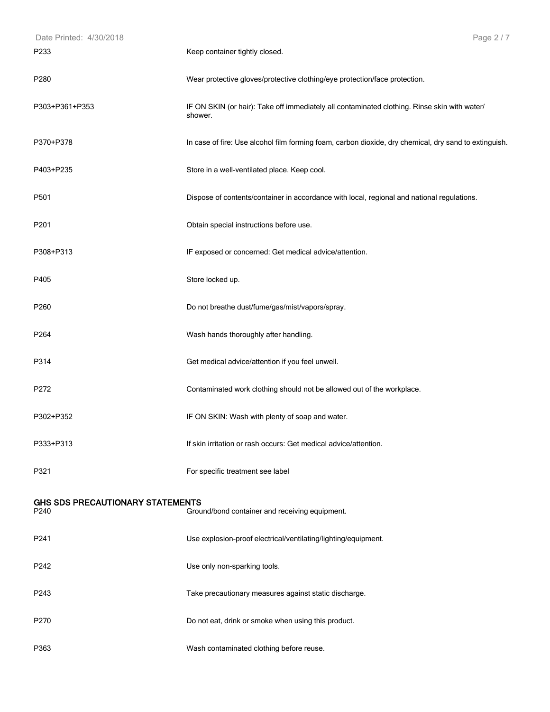| Date Printed: 4/30/2018                         | Page 2/7                                                                                                |
|-------------------------------------------------|---------------------------------------------------------------------------------------------------------|
| P233                                            | Keep container tightly closed.                                                                          |
| P <sub>280</sub>                                | Wear protective gloves/protective clothing/eye protection/face protection.                              |
| P303+P361+P353                                  | IF ON SKIN (or hair): Take off immediately all contaminated clothing. Rinse skin with water/<br>shower. |
| P370+P378                                       | In case of fire: Use alcohol film forming foam, carbon dioxide, dry chemical, dry sand to extinguish.   |
| P403+P235                                       | Store in a well-ventilated place. Keep cool.                                                            |
| P501                                            | Dispose of contents/container in accordance with local, regional and national regulations.              |
| P201                                            | Obtain special instructions before use.                                                                 |
| P308+P313                                       | IF exposed or concerned: Get medical advice/attention.                                                  |
| P405                                            | Store locked up.                                                                                        |
| P <sub>260</sub>                                | Do not breathe dust/fume/gas/mist/vapors/spray.                                                         |
| P264                                            | Wash hands thoroughly after handling.                                                                   |
| P314                                            | Get medical advice/attention if you feel unwell.                                                        |
| P272                                            | Contaminated work clothing should not be allowed out of the workplace.                                  |
| P302+P352                                       | IF ON SKIN: Wash with plenty of soap and water.                                                         |
| P333+P313                                       | If skin irritation or rash occurs: Get medical advice/attention.                                        |
| P321                                            | For specific treatment see label                                                                        |
| <b>GHS SDS PRECAUTIONARY STATEMENTS</b><br>P240 | Ground/bond container and receiving equipment.                                                          |
| P241                                            | Use explosion-proof electrical/ventilating/lighting/equipment.                                          |
| P242                                            | Use only non-sparking tools.                                                                            |
| P243                                            | Take precautionary measures against static discharge.                                                   |
| P270                                            | Do not eat, drink or smoke when using this product.                                                     |
| P363                                            | Wash contaminated clothing before reuse.                                                                |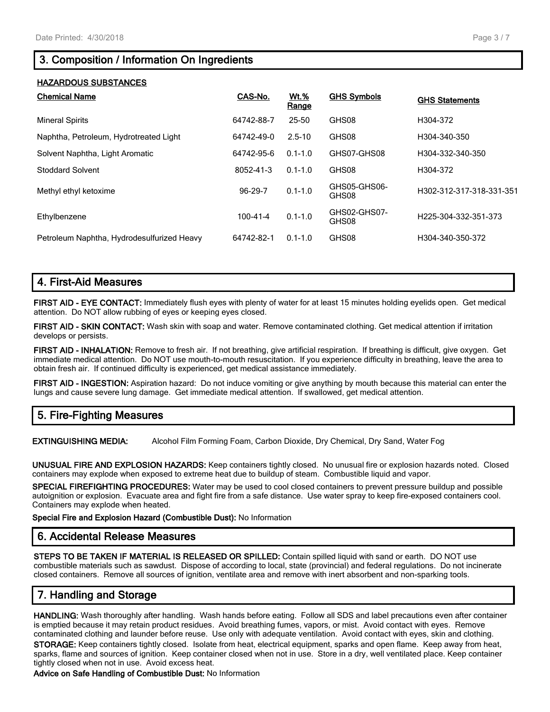## **3. Composition / Information On Ingredients**

#### **HAZARDOUS SUBSTANCES**

| <b>Chemical Name</b>                       | CAS-No.        | <b>Wt.%</b><br>Range | <b>GHS Symbols</b>    | <b>GHS Statements</b>    |
|--------------------------------------------|----------------|----------------------|-----------------------|--------------------------|
| <b>Mineral Spirits</b>                     | 64742-88-7     | 25-50                | GHS08                 | H304-372                 |
| Naphtha, Petroleum, Hydrotreated Light     | 64742-49-0     | $2.5 - 10$           | GHS08                 | H304-340-350             |
| Solvent Naphtha, Light Aromatic            | 64742-95-6     | $0.1 - 1.0$          | GHS07-GHS08           | H304-332-340-350         |
| <b>Stoddard Solvent</b>                    | 8052-41-3      | $0.1 - 1.0$          | GHS08                 | H304-372                 |
| Methyl ethyl ketoxime                      | 96-29-7        | $0.1 - 1.0$          | GHS05-GHS06-<br>GHS08 | H302-312-317-318-331-351 |
| Ethylbenzene                               | $100 - 41 - 4$ | $0.1 - 1.0$          | GHS02-GHS07-<br>GHS08 | H225-304-332-351-373     |
| Petroleum Naphtha, Hydrodesulfurized Heavy | 64742-82-1     | $0.1 - 1.0$          | GHS08                 | H304-340-350-372         |

## **4. First-Aid Measures**

**FIRST AID - EYE CONTACT:** Immediately flush eyes with plenty of water for at least 15 minutes holding eyelids open. Get medical attention. Do NOT allow rubbing of eyes or keeping eyes closed.

**FIRST AID - SKIN CONTACT:** Wash skin with soap and water. Remove contaminated clothing. Get medical attention if irritation develops or persists.

**FIRST AID - INHALATION:** Remove to fresh air. If not breathing, give artificial respiration. If breathing is difficult, give oxygen. Get immediate medical attention. Do NOT use mouth-to-mouth resuscitation. If you experience difficulty in breathing, leave the area to obtain fresh air. If continued difficulty is experienced, get medical assistance immediately.

**FIRST AID - INGESTION:** Aspiration hazard: Do not induce vomiting or give anything by mouth because this material can enter the lungs and cause severe lung damage. Get immediate medical attention. If swallowed, get medical attention.

## **5. Fire-Fighting Measures**

**EXTINGUISHING MEDIA:** Alcohol Film Forming Foam, Carbon Dioxide, Dry Chemical, Dry Sand, Water Fog

**UNUSUAL FIRE AND EXPLOSION HAZARDS:** Keep containers tightly closed. No unusual fire or explosion hazards noted. Closed containers may explode when exposed to extreme heat due to buildup of steam. Combustible liquid and vapor.

**SPECIAL FIREFIGHTING PROCEDURES:** Water may be used to cool closed containers to prevent pressure buildup and possible autoignition or explosion. Evacuate area and fight fire from a safe distance. Use water spray to keep fire-exposed containers cool. Containers may explode when heated.

**Special Fire and Explosion Hazard (Combustible Dust):** No Information

## **6. Accidental Release Measures**

**STEPS TO BE TAKEN IF MATERIAL IS RELEASED OR SPILLED:** Contain spilled liquid with sand or earth. DO NOT use combustible materials such as sawdust. Dispose of according to local, state (provincial) and federal regulations. Do not incinerate closed containers. Remove all sources of ignition, ventilate area and remove with inert absorbent and non-sparking tools.

## **7. Handling and Storage**

**HANDLING:** Wash thoroughly after handling. Wash hands before eating. Follow all SDS and label precautions even after container is emptied because it may retain product residues. Avoid breathing fumes, vapors, or mist. Avoid contact with eyes. Remove contaminated clothing and launder before reuse. Use only with adequate ventilation. Avoid contact with eyes, skin and clothing.

**STORAGE:** Keep containers tightly closed. Isolate from heat, electrical equipment, sparks and open flame. Keep away from heat, sparks, flame and sources of ignition. Keep container closed when not in use. Store in a dry, well ventilated place. Keep container tightly closed when not in use. Avoid excess heat.

**Advice on Safe Handling of Combustible Dust:** No Information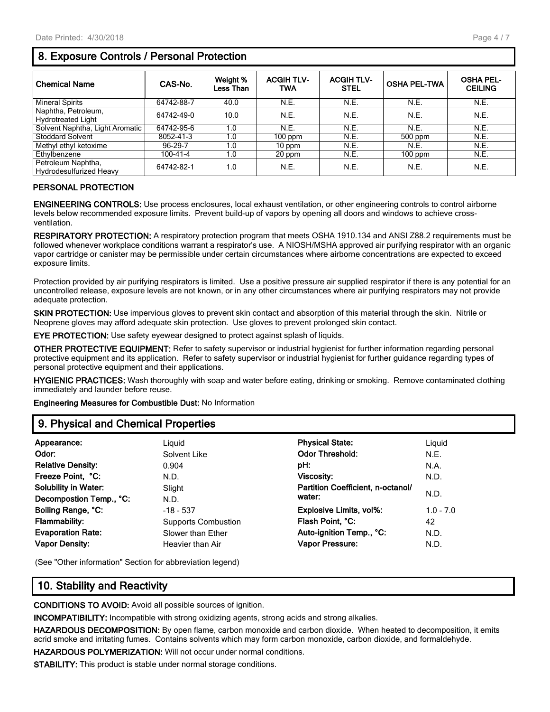## **8. Exposure Controls / Personal Protection**

| <b>Chemical Name</b>                                 | CAS-No.    | Weight %<br>Less Than | <b>ACGIH TLV-</b><br><b>TWA</b> | <b>ACGIH TLV-</b><br>STEL | <b>OSHA PEL-TWA</b> | <b>OSHA PEL-</b><br><b>CEILING</b> |
|------------------------------------------------------|------------|-----------------------|---------------------------------|---------------------------|---------------------|------------------------------------|
| <b>Mineral Spirits</b>                               | 64742-88-7 | 40.0                  | N.E.                            | N.E.                      | N.E.                | N.E.                               |
| Naphtha, Petroleum,<br><b>Hydrotreated Light</b>     | 64742-49-0 | 10.0                  | N.E.                            | N.E.                      | N.E.                | N.E.                               |
| Solvent Naphtha, Light Aromatic                      | 64742-95-6 | 1.0                   | N.E.                            | N.E.                      | N.E.                | N.E.                               |
| <b>Stoddard Solvent</b>                              | 8052-41-3  | 1.0                   | $100$ ppm                       | N.E.                      | 500 ppm             | N.E.                               |
| Methyl ethyl ketoxime                                | 96-29-7    | 1.0                   | 10 ppm                          | N.E.                      | N.E.                | N.E.                               |
| Ethylbenzene                                         | 100-41-4   | 1.0                   | 20 ppm                          | N.E.                      | $100$ ppm           | N.E.                               |
| Petroleum Naphtha,<br><b>Hydrodesulfurized Heavy</b> | 64742-82-1 | 1.0                   | N.E.                            | N.E.                      | N.E.                | N.E.                               |

#### **PERSONAL PROTECTION**

**ENGINEERING CONTROLS:** Use process enclosures, local exhaust ventilation, or other engineering controls to control airborne levels below recommended exposure limits. Prevent build-up of vapors by opening all doors and windows to achieve crossventilation.

**RESPIRATORY PROTECTION:** A respiratory protection program that meets OSHA 1910.134 and ANSI Z88.2 requirements must be followed whenever workplace conditions warrant a respirator's use. A NIOSH/MSHA approved air purifying respirator with an organic vapor cartridge or canister may be permissible under certain circumstances where airborne concentrations are expected to exceed exposure limits.

Protection provided by air purifying respirators is limited. Use a positive pressure air supplied respirator if there is any potential for an uncontrolled release, exposure levels are not known, or in any other circumstances where air purifying respirators may not provide adequate protection.

**SKIN PROTECTION:** Use impervious gloves to prevent skin contact and absorption of this material through the skin. Nitrile or Neoprene gloves may afford adequate skin protection. Use gloves to prevent prolonged skin contact.

**EYE PROTECTION:** Use safety eyewear designed to protect against splash of liquids.

**OTHER PROTECTIVE EQUIPMENT:** Refer to safety supervisor or industrial hygienist for further information regarding personal protective equipment and its application. Refer to safety supervisor or industrial hygienist for further guidance regarding types of personal protective equipment and their applications.

**HYGIENIC PRACTICES:** Wash thoroughly with soap and water before eating, drinking or smoking. Remove contaminated clothing immediately and launder before reuse.

**Engineering Measures for Combustible Dust:** No Information

## **9. Physical and Chemical Properties**

| Appearance:                 | Liguid                     | <b>Physical State:</b>            | Liguid      |
|-----------------------------|----------------------------|-----------------------------------|-------------|
| Odor:                       | Solvent Like               | <b>Odor Threshold:</b>            | N.E.        |
| <b>Relative Density:</b>    | 0.904                      | pH:                               | N.A.        |
| Freeze Point, °C:           | N.D.                       | Viscosity:                        | N.D.        |
| <b>Solubility in Water:</b> | Slight                     | Partition Coefficient, n-octanol/ |             |
| Decompostion Temp., °C:     | N.D.                       | water:                            | N.D.        |
| Boiling Range, °C:          | $-18 - 537$                | Explosive Limits, vol%:           | $1.0 - 7.0$ |
| <b>Flammability:</b>        | <b>Supports Combustion</b> | Flash Point, °C:                  | 42          |
| <b>Evaporation Rate:</b>    | Slower than Ether          | Auto-ignition Temp., °C:          | N.D.        |
| <b>Vapor Density:</b>       | Heavier than Air           | <b>Vapor Pressure:</b>            | N.D.        |

(See "Other information" Section for abbreviation legend)

## **10. Stability and Reactivity**

**CONDITIONS TO AVOID:** Avoid all possible sources of ignition.

**INCOMPATIBILITY:** Incompatible with strong oxidizing agents, strong acids and strong alkalies.

**HAZARDOUS DECOMPOSITION:** By open flame, carbon monoxide and carbon dioxide. When heated to decomposition, it emits acrid smoke and irritating fumes. Contains solvents which may form carbon monoxide, carbon dioxide, and formaldehyde.

**HAZARDOUS POLYMERIZATION:** Will not occur under normal conditions.

**STABILITY:** This product is stable under normal storage conditions.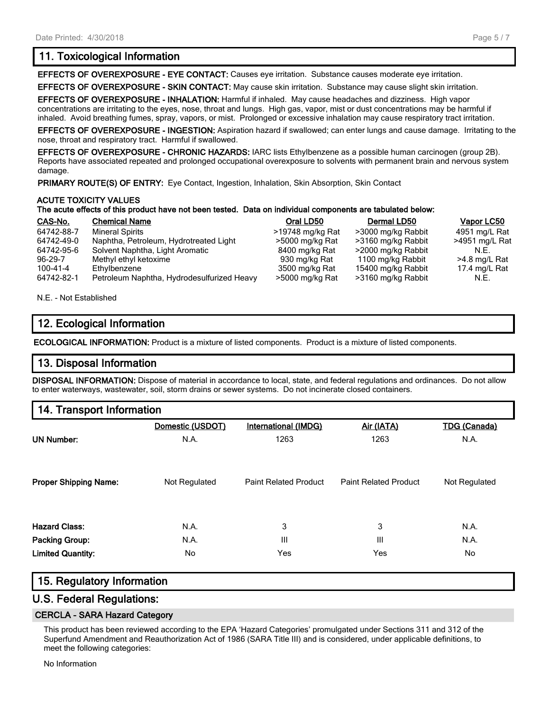## **11. Toxicological Information**

**EFFECTS OF OVEREXPOSURE - EYE CONTACT:** Causes eye irritation. Substance causes moderate eye irritation.

**EFFECTS OF OVEREXPOSURE - SKIN CONTACT:** May cause skin irritation. Substance may cause slight skin irritation.

**EFFECTS OF OVEREXPOSURE - INHALATION:** Harmful if inhaled. May cause headaches and dizziness. High vapor concentrations are irritating to the eyes, nose, throat and lungs. High gas, vapor, mist or dust concentrations may be harmful if inhaled. Avoid breathing fumes, spray, vapors, or mist. Prolonged or excessive inhalation may cause respiratory tract irritation.

**EFFECTS OF OVEREXPOSURE - INGESTION:** Aspiration hazard if swallowed; can enter lungs and cause damage. Irritating to the nose, throat and respiratory tract. Harmful if swallowed.

**EFFECTS OF OVEREXPOSURE - CHRONIC HAZARDS:** IARC lists Ethylbenzene as a possible human carcinogen (group 2B). Reports have associated repeated and prolonged occupational overexposure to solvents with permanent brain and nervous system damage.

PRIMARY ROUTE(S) OF ENTRY: Eye Contact, Ingestion, Inhalation, Skin Absorption, Skin Contact

#### **ACUTE TOXICITY VALUES**

#### **The acute effects of this product have not been tested. Data on individual components are tabulated below:**

| CAS-No.    | <b>Chemical Name</b>                       | Oral LD50        | Dermal LD50        | Vapor LC50     |
|------------|--------------------------------------------|------------------|--------------------|----------------|
| 64742-88-7 | <b>Mineral Spirits</b>                     | >19748 mg/kg Rat | >3000 mg/kg Rabbit | 4951 mg/L Rat  |
| 64742-49-0 | Naphtha, Petroleum, Hydrotreated Light     | >5000 mg/kg Rat  | >3160 mg/kg Rabbit | >4951 mg/L Rat |
| 64742-95-6 | Solvent Naphtha, Light Aromatic            | 8400 mg/kg Rat   | >2000 mg/kg Rabbit | N.F.           |
| 96-29-7    | Methyl ethyl ketoxime                      | 930 mg/kg Rat    | 1100 mg/kg Rabbit  | >4.8 mg/L Rat  |
| 100-41-4   | Ethylbenzene                               | 3500 mg/kg Rat   | 15400 mg/kg Rabbit | 17.4 mg/L Rat  |
| 64742-82-1 | Petroleum Naphtha, Hydrodesulfurized Heavy | >5000 mg/kg Rat  | >3160 mg/kg Rabbit | N.E.           |

N.E. - Not Established

## **12. Ecological Information**

**ECOLOGICAL INFORMATION:** Product is a mixture of listed components. Product is a mixture of listed components.

### **13. Disposal Information**

**DISPOSAL INFORMATION:** Dispose of material in accordance to local, state, and federal regulations and ordinances. Do not allow to enter waterways, wastewater, soil, storm drains or sewer systems. Do not incinerate closed containers.

## **14. Transport Information**

|                              | Domestic (USDOT) | <b>International (IMDG)</b>  | Air (IATA)                   | <b>TDG (Canada)</b> |
|------------------------------|------------------|------------------------------|------------------------------|---------------------|
| <b>UN Number:</b>            | N.A.             | 1263                         | 1263                         | N.A.                |
| <b>Proper Shipping Name:</b> | Not Regulated    | <b>Paint Related Product</b> | <b>Paint Related Product</b> | Not Regulated       |
| <b>Hazard Class:</b>         | N.A.             | 3                            | 3                            | N.A.                |
| Packing Group:               | N.A.             | III                          | Ш                            | N.A.                |
| <b>Limited Quantity:</b>     | No               | Yes                          | Yes                          | No.                 |

### **15. Regulatory Information**

### **U.S. Federal Regulations:**

#### **CERCLA - SARA Hazard Category**

This product has been reviewed according to the EPA 'Hazard Categories' promulgated under Sections 311 and 312 of the Superfund Amendment and Reauthorization Act of 1986 (SARA Title III) and is considered, under applicable definitions, to meet the following categories:

No Information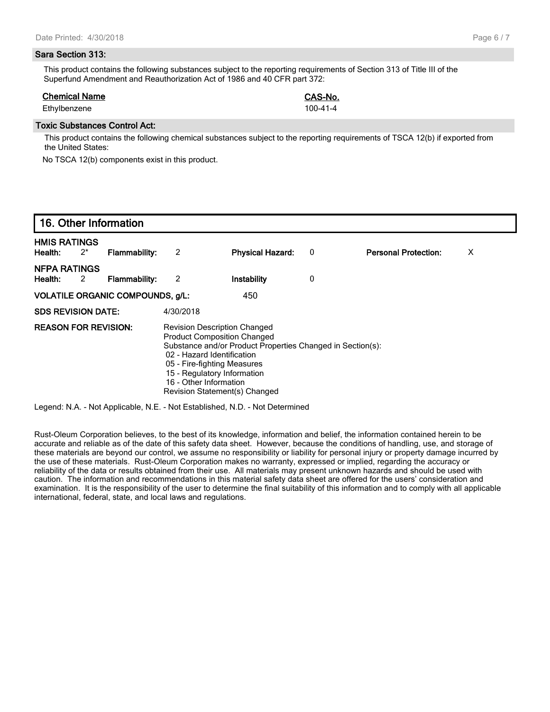#### **Sara Section 313:**

This product contains the following substances subject to the reporting requirements of Section 313 of Title III of the Superfund Amendment and Reauthorization Act of 1986 and 40 CFR part 372:

#### **Chemical Name CAS-No.**

Ethylbenzene 100-41-4

#### **Toxic Substances Control Act:**

This product contains the following chemical substances subject to the reporting requirements of TSCA 12(b) if exported from the United States:

No TSCA 12(b) components exist in this product.

|                                |       | 16. Other Information                   |           |                                                                                                                                                                                                                                                                                                |   |                             |   |
|--------------------------------|-------|-----------------------------------------|-----------|------------------------------------------------------------------------------------------------------------------------------------------------------------------------------------------------------------------------------------------------------------------------------------------------|---|-----------------------------|---|
| <b>HMIS RATINGS</b><br>Health: | $2^*$ | <b>Flammability:</b>                    | 2         | <b>Physical Hazard:</b>                                                                                                                                                                                                                                                                        | 0 | <b>Personal Protection:</b> | X |
| <b>NFPA RATINGS</b><br>Health: | 2     | Flammability:                           | 2         | Instability                                                                                                                                                                                                                                                                                    | 0 |                             |   |
|                                |       | <b>VOLATILE ORGANIC COMPOUNDS, g/L:</b> |           | 450                                                                                                                                                                                                                                                                                            |   |                             |   |
| <b>SDS REVISION DATE:</b>      |       |                                         | 4/30/2018 |                                                                                                                                                                                                                                                                                                |   |                             |   |
| <b>REASON FOR REVISION:</b>    |       |                                         |           | <b>Revision Description Changed</b><br><b>Product Composition Changed</b><br>Substance and/or Product Properties Changed in Section(s):<br>02 - Hazard Identification<br>05 - Fire-fighting Measures<br>15 - Regulatory Information<br>16 - Other Information<br>Revision Statement(s) Changed |   |                             |   |

Legend: N.A. - Not Applicable, N.E. - Not Established, N.D. - Not Determined

Rust-Oleum Corporation believes, to the best of its knowledge, information and belief, the information contained herein to be accurate and reliable as of the date of this safety data sheet. However, because the conditions of handling, use, and storage of these materials are beyond our control, we assume no responsibility or liability for personal injury or property damage incurred by the use of these materials. Rust-Oleum Corporation makes no warranty, expressed or implied, regarding the accuracy or reliability of the data or results obtained from their use. All materials may present unknown hazards and should be used with caution. The information and recommendations in this material safety data sheet are offered for the users' consideration and examination. It is the responsibility of the user to determine the final suitability of this information and to comply with all applicable international, federal, state, and local laws and regulations.